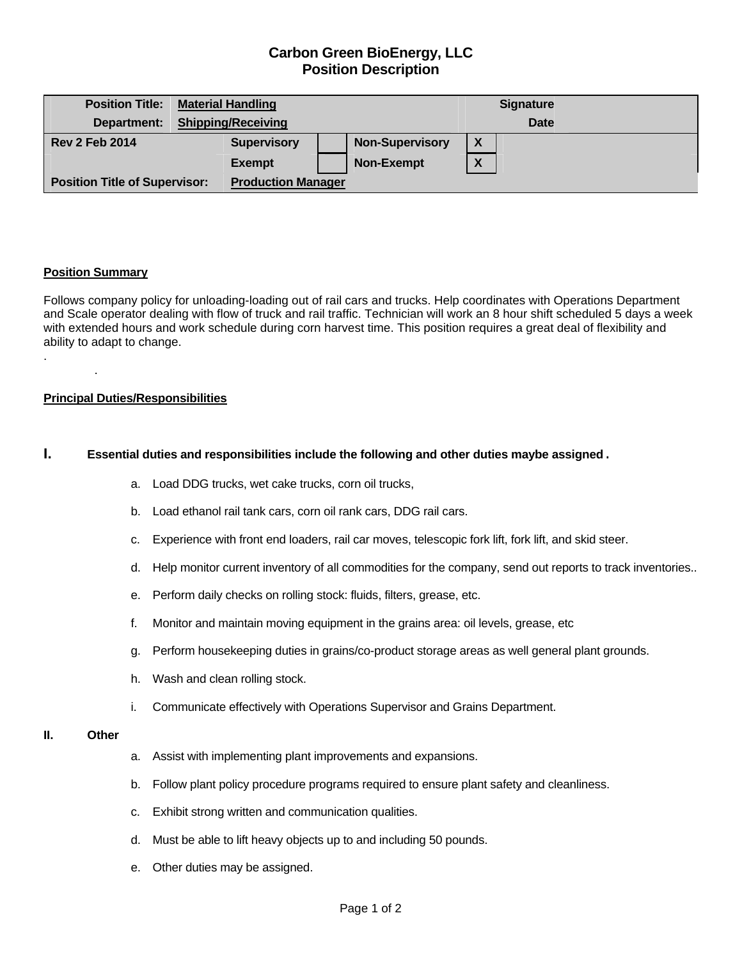# **Carbon Green BioEnergy, LLC Position Description**

| <b>Position Title:</b>               | <b>Material Handling</b>  |                           |  |                        |   | <b>Signature</b> |  |
|--------------------------------------|---------------------------|---------------------------|--|------------------------|---|------------------|--|
| Department:                          | <b>Shipping/Receiving</b> |                           |  |                        |   | <b>Date</b>      |  |
| <b>Rev 2 Feb 2014</b>                |                           | <b>Supervisory</b>        |  | <b>Non-Supervisory</b> | X |                  |  |
|                                      |                           | <b>Exempt</b>             |  | <b>Non-Exempt</b>      | X |                  |  |
| <b>Position Title of Supervisor:</b> |                           | <b>Production Manager</b> |  |                        |   |                  |  |

## **Position Summary**

.

.

Follows company policy for unloading-loading out of rail cars and trucks. Help coordinates with Operations Department and Scale operator dealing with flow of truck and rail traffic. Technician will work an 8 hour shift scheduled 5 days a week with extended hours and work schedule during corn harvest time. This position requires a great deal of flexibility and ability to adapt to change.

### **Principal Duties/Responsibilities**

## **I. Essential duties and responsibilities include the following and other duties maybe assigned**.

- a. Load DDG trucks, wet cake trucks, corn oil trucks,
- b. Load ethanol rail tank cars, corn oil rank cars, DDG rail cars.
- c. Experience with front end loaders, rail car moves, telescopic fork lift, fork lift, and skid steer.
- d. Help monitor current inventory of all commodities for the company, send out reports to track inventories..
- e. Perform daily checks on rolling stock: fluids, filters, grease, etc.
- f. Monitor and maintain moving equipment in the grains area: oil levels, grease, etc
- g. Perform housekeeping duties in grains/co-product storage areas as well general plant grounds.
- h. Wash and clean rolling stock.
- i. Communicate effectively with Operations Supervisor and Grains Department.

#### **II. Other**

- a. Assist with implementing plant improvements and expansions.
- b. Follow plant policy procedure programs required to ensure plant safety and cleanliness.
- c. Exhibit strong written and communication qualities.
- d. Must be able to lift heavy objects up to and including 50 pounds.
- e. Other duties may be assigned.